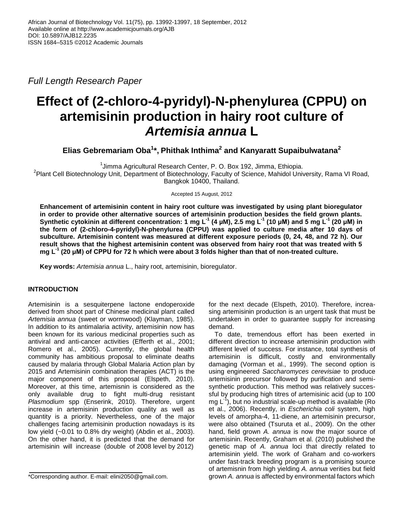*Full Length Research Paper*

# **Effect of (2-chloro-4-pyridyl)-N-phenylurea (CPPU) on artemisinin production in hairy root culture of**  *Artemisia annua* **L**

**Elias Gebremariam Oba<sup>1</sup> \*, Phithak Inthima<sup>2</sup> and Kanyaratt Supaibulwatana<sup>2</sup>**

<sup>1</sup>Jimma Agricultural Research Center, P. O. Box 192, Jimma, Ethiopia. <sup>2</sup> Plant Cell Biotechnology Unit, Department of Biotechnology, Faculty of Science, Mahidol University, Rama VI Road, Bangkok 10400, Thailand.

Accepted 15 August, 2012

**Enhancement of artemisinin content in hairy root culture was investigated by using plant bioregulator in order to provide other alternative sources of artemisinin production besides the field grown plants. Synthetic cytokinin at different concentration: 1 mg L-1 (4 µM), 2.5 mg L-1 (10 μM) and 5 mg L-1 (20 μM) in the form of (2-chloro-4-pyridyl)-N-phenylurea (CPPU) was applied to culture media after 10 days of subculture. Artemisinin content was measured at different exposure periods (0, 24, 48, and 72 h). Our result shows that the highest artemisinin content was observed from hairy root that was treated with 5 mg L-1 (20 μM) of CPPU for 72 h which were about 3 folds higher than that of non-treated culture.** 

**Key words:** *Artemisia annua* L., hairy root, artemisinin, bioregulator.

## **INTRODUCTION**

Artemisinin is a sesquiterpene lactone endoperoxide derived from shoot part of Chinese medicinal plant called *Artemisia annua* (sweet or wormwood) (Klayman, 1985). In addition to its antimalaria activity, artemisinin now has been known for its various medicinal properties such as antiviral and anti-cancer activities (Efferth et al., 2001; Romero et al., 2005). Currently, the global health community has ambitious proposal to eliminate deaths caused by malaria through Global Malaria Action plan by 2015 and Artemisinin combination therapies (ACT) is the major component of this proposal (Elspeth, 2010). Moreover, at this time, artemisnin is considered as the only available drug to fight multi-drug resistant *Plasmodium* spp (Enserink, 2010). Therefore, urgent increase in artemisinin production quality as well as quantity is a priority. Nevertheless, one of the major challenges facing artemisinin production nowadays is its low yield (~0.01 to 0.8% dry weight) (Abdin et al., 2003). On the other hand, it is predicted that the demand for artemisinin will increase (double of 2008 level by 2012)

for the next decade (Elspeth, 2010). Therefore, increasing artemisinin production is an urgent task that must be undertaken in order to guarantee supply for increasing demand.

To date, tremendous effort has been exerted in different direction to increase artemisinin production with different level of success. For instance, total synthesis of artemisinin is difficult, costly and environmentally damaging (Vorman et al., 1999). The second option is using engineered *Saccharomyces cerevisiae* to produce artemisinin precursor followed by purification and semisynthetic production. This method was relatively successful by producing high titres of artemisinic acid (up to 100 mg L<sup>-1</sup>), but no industrial scale-up method is available (Ro et al., 2006). Recently, in *Escherichia coli* system, high levels of amorpha-4, 11-diene, an artemisinin precursor, were also obtained (Tsuruta et al., 2009). On the other hand, field grown *A. annua* is now the major source of artemisinin. Recently, Graham et al. (2010) published the genetic map of *A. annua* loci that directly related to artemisinin yield. The work of Graham and co-workers under fast-track breeding program is a promising source of artemisnin from high yielding *A. annua* verities but field grown *A. annua* is affected by environmental factors which

<sup>\*</sup>Corresponding author. E-mail: elini2050@gmail.com.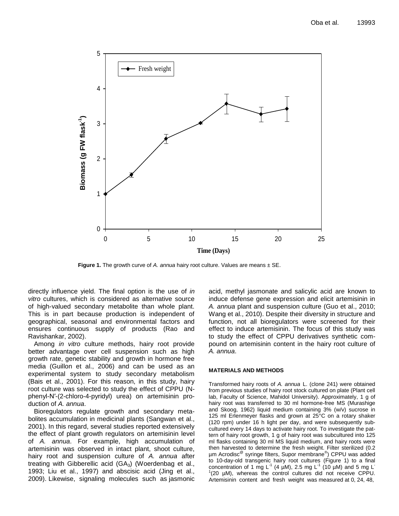

**Figure 1.** The growth curve of *A. annua* hairy root culture. Values are means ± SE.

directly influence yield. The final option is the use of *in vitro* cultures, which is considered as alternative source of high-valued secondary metabolite than whole plant. This is in part because production is independent of geographical, seasonal and environmental factors and ensures continuous supply of products (Rao and Ravishankar, 2002).

Among *in vitro* culture methods, hairy root provide better advantage over cell suspension such as high growth rate, genetic stability and growth in hormone free media (Guillon et al., 2006) and can be used as an experimental system to study secondary metabolism (Bais et al., 2001). For this reason, in this study, hairy root culture was selected to study the effect of CPPU (Nphenyl-N′-(2-chloro-4-pyridyl) urea) on artemisinin production of *A. annua*.

Bioregulators regulate growth and secondary metabolites accumulation in medicinal plants (Sangwan et al., 2001). In this regard, several studies reported extensively the effect of plant growth regulators on artemisinin level of *A. annua*. For example, high accumulation of artemisinin was observed in intact plant, shoot culture, hairy root and suspension culture of *A. annua* after treating with Gibberellic acid  $(GA_3)$  (Woerdenbag et al., 1993; Liu et al., 1997) and abscisic acid (Jing et al., 2009). Likewise, signaling molecules such as jasmonic acid, methyl jasmonate and salicylic acid are known to induce defense gene expression and elicit artemisinin in *A. annua* plant and suspension culture (Guo et al., 2010; Wang et al., 2010). Despite their diversity in structure and function, not all bioregulators were screened for their effect to induce artemisinin. The focus of this study was to study the effect of CPPU derivatives synthetic compound on artemisinin content in the hairy root culture of *A. annua*.

#### **MATERIALS AND METHODS**

Transformed hairy roots of *A. annua* L. (clone 241) were obtained from previous studies of hairy root stock cultured on plate (Plant cell lab, Faculty of Science, Mahidol University). Approximately, 1 g of hairy root was transferred to 30 ml hormone-free MS (Murashige and Skoog, 1962) liquid medium containing 3% (w/v) sucrose in 125 ml Erlenmeyer flasks and grown at 25°C on a rotary shaker (120 rpm) under 16 h light per day, and were subsequently subcultured every 14 days to activate hairy root. To investigate the pattern of hairy root growth, 1 g of hairy root was subcultured into 125 ml flasks containing 30 ml MS liquid medium, and hairy roots were then harvested to determine the fresh weight. Filter sterilized (0.2 µm Acrodisc@ syringe filters, Supor membrane® ) CPPU was added to 10-day-old transgenic hairy root cultures (Figure 1) to a final concentration of 1 mg L<sup>-1</sup> (4  $\mu$ M), 2.5 mg L<sup>-1</sup> (10  $\mu$ M) and 5 mg L<sup>-1</sup>  $1(20 \mu M)$ , whereas the control cultures did not receive CPPU. Artemisinin content and fresh weight was measured at 0, 24, 48,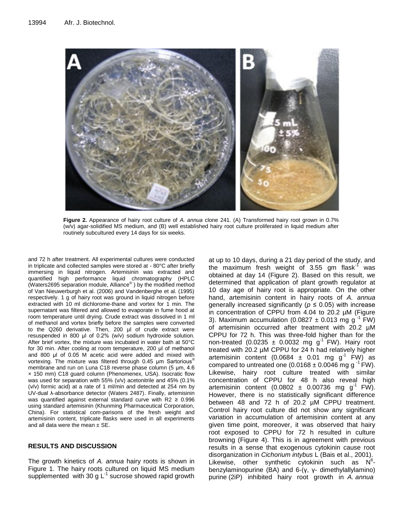

**Figure 2.** Appearance of hairy root culture of *A. annua* clone 241. (A) Transformed hairy root grown in 0.7% (w/v) agar-solidified MS medium, and (B) well established hairy root culture proliferated in liquid medium after routinely subcultured every 14 days for six weeks.

and 72 h after treatment. All experimental cultures were conducted in triplicate and collected samples were stored at - 80°C after briefly immersing in liquid nitrogen. Artemisinin was extracted and quantified high performance liquid chromatography (HPLC (Waters2695 separation module, Alliance® ) by the modified method of Van Nieuwerburgh et al. (2006) and Vandenberghe et al. (1995) respectively. 1 g of hairy root was ground in liquid nitrogen before extracted with 10 ml dichlorome-thane and vortex for 1 min. The supernatant was filtered and allowed to evaporate in fume hood at room temperature until drying. Crude extract was dissolved in 1 ml of methanol and vortex briefly before the samples were converted to the Q260 derivative. Then, 200 µl of crude extract were resuspended in 800 μl of 0.2% (w/v) sodium hydroxide solution. After brief vortex, the mixture was incubated in water bath at 50°C for 30 min. After cooling at room temperature, 200 μl of methanol and 800 μl of 0.05 M acetic acid were added and mixed with vortexing. The mixture was filtered through 0.45 um Sartorious<sup>®</sup> membrane and run on Luna C18 reverse phase column (5 μm, 4.6 × 150 mm) C18 guard column (Phenomenex, USA). Isocratic flow was used for separation with 55% (v/v) acetonitrile and 45% (0.1% (v/v) formic acid) at a rate of 1 ml/min and detected at 254 nm by UV-dual λ-absorbance detector (Waters 2487). Finally, artemisinin was quantified against external standard curve with R2 ≥ 0.996 using standard artemisinin (Khunming Pharmaceutical Corporation, China). For statistical com-parisons of the fresh weight and artemisinin content, triplicate flasks were used in all experiments and all data were the mean  $\pm$  SE.

### **RESULTS AND DISCUSSION**

The growth kinetics of *A. annua* hairy roots is shown in Figure 1. The hairy roots cultured on liquid MS medium supplemented with 30 g  $L^{-1}$  sucrose showed rapid growth

at up to 10 days, during a 21 day period of the study, and the maximum fresh weight of 3.55 gm flask $1$  was obtained at day 14 (Figure 2). Based on this result, we determined that application of plant growth regulator at 10 day age of hairy root is appropriate. On the other hand, artemisinin content in hairy roots of *A. annua* generally increased significantly ( $p \le 0.05$ ) with increase in concentration of CPPU from 4.04 to 20.2 µM (Figure 3). Maximum accumulation (0.0827  $\pm$  0.013 mg g<sup>-1</sup> FW) of artemisinin occurred after treatment with 20.2 µM CPPU for 72 h. This was three-fold higher than for the non-treated (0.0235  $\pm$  0.0032 mg g<sup>-1</sup> FW). Hairy root treated with 20.2 µM CPPU for 24 h had relatively higher artemisinin content (0.0684  $\pm$  0.01 mg g<sup>-1</sup> FW) as compared to untreated one (0.0168  $\pm$  0.0046 mg g<sup>-1</sup> FW). Likewise, hairy root culture treated with similar concentration of CPPU for 48 h also reveal high artemisinin content (0.0802  $\pm$  0.00736 mg g<sup>-1</sup> FW). However, there is no statistically significant difference between 48 and 72 h of 20.2 µM CPPU treatment. Control hairy root culture did not show any significant variation in accumulation of artemisinin content at any given time point, moreover, it was observed that hairy root exposed to CPPU for 72 h resulted in culture browning (Figure 4). This is in agreement with previous results in a sense that exogenous cytokinin cause root disorganization in *Cichorium intybus* L (Bais et al., 2001). Likewise, other synthetic cytokinin such as  $N^6$ benzylaminopurine (BA) and 6-(γ, γ- dimethylallylamino) purine (2iP) inhibited hairy root growth in *A. annua*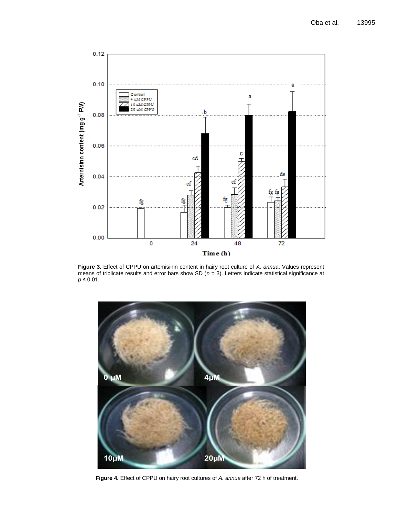

**Figure 3.** Effect of CPPU on artemisinin content in hairy root culture of *A. annua*. Values represent means of triplicate results and error bars show SD (*n* = 3). Letters indicate statistical significance at *p* ≤ 0.01.



**Figure 4.** Effect of CPPU on hairy root cultures of *A. annua* after 72 h of treatment.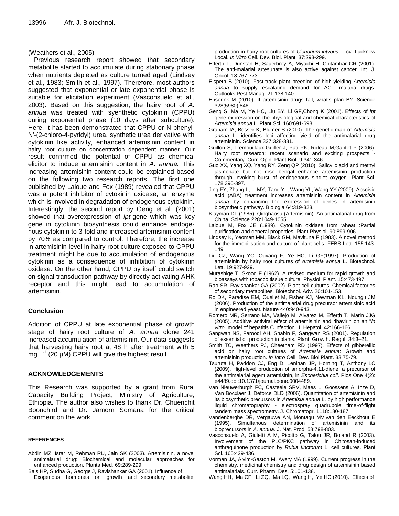(Weathers et al., 2005)

Previous research report showed that secondary metabolite started to accumulate during stationary phase when nutrients depleted as culture turned aged (Lindsey et al., 1983; Smith et al., 1997). Therefore, most authors suggested that exponential or late exponential phase is suitable for elicitation experiment (Vasconsuelo et al., 2003). Based on this suggestion, the hairy root of *A. annua* was treated with syenthetic cytokinin (CPPU) during exponential phase (10 days after subculture). Here, it has been demonstrated that CPPU or N-phenyl-N′-(2-chloro-4-pyridyl) urea, synthetic urea derivative with cytokinin like activity, enhanced artemisinin content in hairy root culture on concentration dependent manner. Our result confirmed the potential of CPPU as chemical elicitor to induce artemisinin content in *A. annua.* This increasing artemisinin content could be explained based on the following two research reports. The first one published by Laloue and Fox (1989) revealed that CPPU was a potent inhibitor of cytokinin oxidase, an enzyme which is involved in degradation of endogenous cytokinin. Interestingly, the second report by Geng et al. (2001) showed that overexpression of *ipt*-gene which was key gene in cytokinin biosynthesis could enhance endogenous cytokinin to 3-fold and increased artemisinin content by 70% as compared to control. Therefore, the increase in artemisinin level in hairy root culture exposed to CPPU treatment might be due to accumulation of endogenous cytokinin as a consequence of inhibition of cytokinin oxidase. On the other hand, CPPU by itself could switch on signal transduction pathway by directly activating AHK receptor and this might lead to accumulation of artemisinin.

### **Conclusion**

Addition of CPPU at late exponential phase of growth stage of hairy root culture of *A. annua* clone 241 increased accumulation of artemisinin. Our data suggests that harvesting hairy root at 48 h after treatment with 5 mg  $L^{-1}$  (20 µM) CPPU will give the highest result.

### **ACKNOWLEDGEMENTS**

This Research was supported by a grant from Rural Capacity Building Project, Ministry of Agriculture, Ethiopia. The author also wishes to thank Dr. Chuenchit Boonchird and Dr. Jamorn Somana for the critical comment on the work.

#### **REFERENCES**

- Abdin MZ, Israr M, Rehman RU, Jain SK (2003). Artemisinin, a novel antimalarial drug: Biochemical and molecular approaches for enhanced production. Planta Med*.* 69:289-299.
- Bais HP, Sudha G, George J, Ravishankar GA (2001). Influence of Exogenous hormones on growth and secondary metabolite

production in hairy root cultures of *Cichorium intybus* L. cv. Lucknow Local. *In Vitro* Cell. Dev. Biol. Plant. 37:293-299.

- Efferth T, Dunstan H, Sauerbrey A, Miyachi H, Chitambar CR (2001). The anti-malarial artesunate is also active against cancer. Int. J. Oncol. 18:767-773.
- Elspeth B (2010). Fast-track plant breeding of high-yielding *Artemisia annua* to supply escalating demand for ACT malaria drugs. Outlooks.Pest Manag*.* 21:138-140.
- Enserink M (2010). If artemisinin drugs fail, what's plan B?. Science 328(5980):846.
- Geng S, Ma M, Ye HC, Liu BY, Li GF,Chong K (2001). Effects of *ipt* gene expression on the physiological and chemical characteristics of *Artemisia annua* L. Plant Sci. 160:691-698.
- Graham IA, Besser K, Blumer S (2010). The genetic map of *Artemisia annua* L. identifies loci affecting yield of the antimalarial drug artemisinin. Science 327:328-331.
- Guillon S, Tremouillaux-Guiller J, Pati PK, Rideau M,Gantet P (2006). Hairy root research: recent scenario and exciting prospects - Commentary. Curr. Opin. Plant Biol. 9:341-346.
- Guo XX, Yang XQ, Yang RY, Zeng QP (2010). Salicylic acid and methyl jasmonate but not rose bengal enhance artemisinin production through invoking burst of endogenous singlet oxygen. Plant Sci. 178:390-397.
- Jing FY, Zhang L, Li MY, Tang YL, Wang YL, Wang YY (2009). Abscisic acid (ABA) treatment increases artemisinin content in *Artemisia*  annua by enhancing the expression of genes in artemisinin biosynthetic pathway. Biologia 64:319-323.
- Klayman DL (1985). Qinghaosu (Artemisinin): An antimalarial drug from China. Science 228:1049-1055.
- Laloue M, Fox JE (1989). Cytokinin oxidase from wheat :Partial purification and general properties. Plant Physiol. 90:899-906.
- Lindsey K, Yeoman MM, Black GM, Mavituna F (1983). A novel method for the immobilisation and culture of plant cells. FEBS Lett. 155:143- 149.
- Liu CZ, Wang YC, Ouyang F, Ye HC, Li GF(1997). Production of artemisinin by hairy root cultures of *Artemisia annua* L. Biotechnol. Lett. 19:927-929.
- Murashige T, Skoog F (1962). A revised medium for rapid growth and bioassays with tobacco tissue culture. Physiol. Plant. 15:473-497.
- Rao SR, Ravishankar GA (2002). Plant cell cultures: Chemical factories of secondary metabolites. Biotechnol. Adv. 20:101-153.
- Ro DK, Paradise EM, Ouellet M, Fisher KJ, Newman KL, Ndungu JM (2006). Production of the antimalarial drug precursor artemisinic acid in engineered yeast. Nature 440:940-943.
- Romero MR, Serrano MA, Vallejo M, Alvarez M, Efferth T, Marin JJG (2005). Additive antiviral effect of artemisinin and ribavirin on an "*in vitro*" model of hepatitis C infection. J. Hepatol. 42:166-166.
- Sangwan NS, Farooqi AH, Shabin F, Sangwan RS (2001). Regulation of essential oil production in plants. Plant. Growth. Regul. 34:3–21.
- Smith TC, Weathers PJ, Cheetham RD (1997). Effects of gibberellic acid on hairy root cultures of *Artemisia annua*: Growth and artemisinin production. *In Vitro* Cell. Dev. Biol.Plant. 33:75-79.
- Tsuruta H, Paddon CJ, Eng D, Lenihan JR, Horning T, Anthony LC (2009). High-level production of amorpha-4,11-diene, a precursor of the antimalarial agent artemisinin, in *Escherichia coli*. Plos One 4(2): e4489.doi:10.1371/journal.pone.0004489.
- Van Nieuwerburgh FC, Casteele SRV, Maes L, Goossens A, Inze D, Van Bocxlaer J, Deforce DLD (2006). Quantitation of artemisinin and its biosynthetic precursors in *Artemisia annua* L. by high performance liquid chromatography - electrospray quadrupole time-of-flight tandem mass spectrometry. J. Chromatogr. 1118:180-187.
- Vandenberghe DR, Vergauwe AN, Montagu MV,van den Eeckhout E (1995). Simultanous determination of artemisinin and its bioprecursors in *A. annua*. J. Nat. Prod. 58:798-803.
- Vasconsuelo A, Giuletti A M, Picotto G, Talou JR, Boland R (2003). Involvement of the PLC/PKC pathway in Chitosan-induced anthraquinone production by *Rubia tinctorum* L. cell cultures. Plant Sci. 165:429-436.
- Vorman JA, Alvim-Gaston M, Avery MA (1999). Current progress in the chemistry, medicinal chemistry and drug design of artemisinin based antimalarials. Curr. Pharm. Des. 5:101-138.
- Wang HH, Ma CF, Li ZQ, Ma LQ, Wang H, Ye HC (2010). Effects of